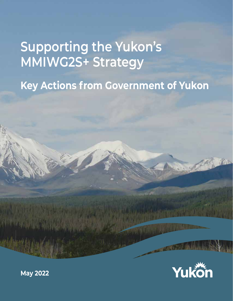# **Supporting the Yukon's MMIWG2S+ Strategy**

# **Key Actions from Government of Yukon**



**May 2022**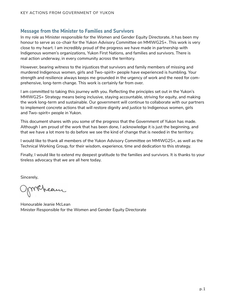# **Message from the Minister to Families and Survivors**

In my role as Minister responsible for the Women and Gender Equity Directorate, it has been my honour to serve as co-chair for the Yukon Advisory Committee on MMIWG2S+. This work is very close to my heart. I am incredibly proud of the progress we have made in partnership with Indigenous women's organizations, Yukon First Nations, and families and survivors. There is real action underway, in every community across the territory.

However, bearing witness to the injustices that survivors and family members of missing and murdered Indigenous women, girls and Two-spirit+ people have experienced is humbling. Your strength and resilience always keeps me grounded in the urgency of work and the need for comprehensive, long-term change. This work is certainly far from over.

I am committed to taking this journey with you. Reflecting the principles set out in the Yukon's MMIWG2S+ Strategy means being inclusive, staying accountable, striving for equity, and making the work long-term and sustainable. Our government will continue to collaborate with our partners to implement concrete actions that will restore dignity and justice to Indigenous women, girls and Two-spirit+ people in Yukon.

This document shares with you some of the progress that the Government of Yukon has made. Although I am proud of the work that has been done, I acknowledge it is just the beginning, and that we have a lot more to do before we see the kind of change that is needed in the territory.

I would like to thank all members of the Yukon Advisory Committee on MMIWG2S+, as well as the Technical Working Group, for their wisdom, experience, time and dedication to this strategy.

Finally, I would like to extend my deepest gratitude to the families and survivors. It is thanks to your tireless advocacy that we are all here today.

Sincerely,

Mcheam

Honourable Jeanie McLean Minister Responsible for the Women and Gender Equity Directorate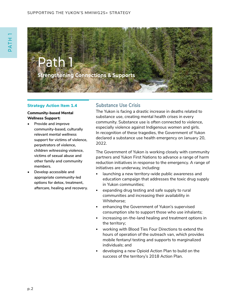

#### **Strategy Action Item 1.4**

#### **Community-based Mental Wellness Support:**

- **Provide and improve community-based, culturally relevant mental wellness support for victims of violence, perpetrators of violence, children witnessing violence, victims of sexual abuse and other family and community members.**
- **Develop** accessible and **appropriate community-led options for detox, treatment, aftercare, healing and recovery.**

# **Substance Use Crisis**

The Yukon is facing a drastic increase in deaths related to substance use, creating mental health crises in every community. Substance use is often connected to violence, especially violence against Indigenous women and girls. In recognition of these tragedies, the Government of Yukon declared a substance use health emergency on January 20, 2022.

The Government of Yukon is working closely with community partners and Yukon First Nations to advance a range of harm reduction initiatives in response to the emergency. A range of initiatives are underway, including:

- launching a new territory-wide public awareness and education campaign that addresses the toxic drug supply in Yukon communities;
- expanding drug testing and safe supply to rural communities and increasing their availability in Whitehorse;
- enhancing the Government of Yukon's supervised consumption site to support those who use inhalants;
- increasing on-the-land healing and treatment options in the territory;
- working with Blood Ties Four Directions to extend the hours of operation of the outreach van, which provides mobile fentanyl testing and supports to marginalized individuals; and
- developing a new Opioid Action Plan to build on the success of the territory's 2018 Action Plan.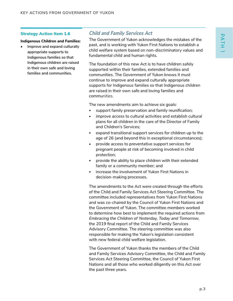#### **Strategy Action Item 1.6**

#### **Indigenous Children and Families:**

**• Improve and expand culturally appropriate supports to Indigenous families so that Indigenous children are raised in their own safe and loving families and communities.**

# *Child and Family Services Act*

The Government of Yukon acknowledges the mistakes of the past, and is working with Yukon First Nations to establish a child welfare system based on non-discriminatory values and fundamental child and human rights.

The foundation of this new Act is to have children safely supported within their families, extended families and communities. The Government of Yukon knows it must continue to improve and expand culturally appropriate supports for Indigenous families so that Indigenous children are raised in their own safe and loving families and communities.

The new amendments aim to achieve six goals:

- support family preservation and family reunification;
- improve access to cultural activities and establish cultural plans for all children in the care of the Director of Family and Children's Services;
- expand transitional support services for children up to the age of 26 (and beyond this in exceptional circumstances);
- provide access to preventative support services for pregnant people at risk of becoming involved in child protection;
- provide the ability to place children with their extended family or a community member; and
- increase the involvement of Yukon First Nations in decision-making processes.

The amendments to the Act were created through the efforts of the Child and Family Services Act Steering Committee. The committee included representatives from Yukon First Nations and was co-chaired by the Council of Yukon First Nations and the Government of Yukon. The committee members worked to determine how best to implement the required actions from *Embracing the Children of Yesterday, Today and Tomorrow*, the 2019 final report of the Child and Family Services Advisory Committee. The steering committee was also responsible for making the Yukon's legislation consistent with new federal child welfare legislation.

The Government of Yukon thanks the members of the Child and Family Services Advisory Committee, the Child and Family Services Act Steering Committee, the Council of Yukon First Nations and all those who worked diligently on this Act over the past three years.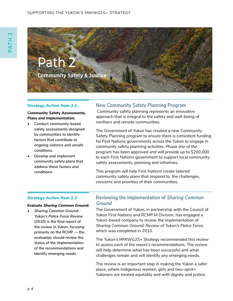

#### **Strategy Action Item 2.1**

**Community Safety Assessments, Plans and Implementation:**

- **Conduct community-based safety assessments designed by communities to identify factors that contribute to ongoing violence and unsafe conditions.**
- **Develop** and **implement community safety plans that address these factors and conditions.**

# **New Community Safety Planning Program**

 Community safety planning represents an innovative approach that is integral to the safety and well-being of northern and remote communities.

The Government of Yukon has created a new Community Safety Planning program to ensure there is consistent funding for First Nations governments across the Yukon to engage in community safety planning activities. Phase one of the program has been approved and will provide up to \$200,000 to each First Nations government to support local community safety assessments, planning and initiatives.

This program will help First Nations create tailored community safety plans that respond to the challenges, concerns and priorities of their communities.

#### **Strategy Action Item 2.2**

#### **Evaluate** *Sharing Common Ground:*

**Sharing Common Ground -***Yukon's Police Force Review* **(2010) is the final report of the review in Yukon, focusing primarily on the RCMP — the evaluation should review the status of the implementation of the recommendations and identify emerging needs.**

# **Reviewing the Implementation of** *Sharing Common Ground*

The Government of Yukon, in partnership with the Council of Yukon First Nations and RCMP M Division, has engaged a Yukon-based company to review the implementation of *Sharing Common Ground: Review of Yukon's Police Force*, which was completed in 2010.

The Yukon's MMIWG2S+ Strategy recommended this review to assess each of the report's recommendations. The review will help determine what has been successful and what challenges remain and will identify any emerging needs.

The review is an important step in making the Yukon a safer place, where Indigenous women, girls and two-spirit+ Yukoners are treated equitably and with dignity and justice.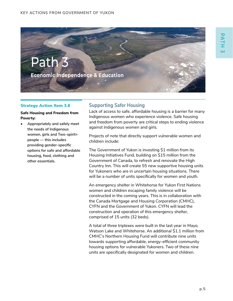

#### **Strategy Action Item 3.6**

#### **Safe Housing and Freedom from Poverty:**

**• Appropriately and safely meet the needs of Indigenous women, girls and Two-spirit+ people — this includes providing gender-specific options for safe and affordable housing, food, clothing and other essentials.**

# **Supporting Safer Housing**

Lack of access to safe, affordable housing is a barrier for many Indigenous women who experience violence. Safe housing and freedom from poverty are critical steps to ending violence against Indigenous women and girls.

Projects of note that directly support vulnerable women and children include:

The Government of Yukon is investing \$1 million from its Housing Initiatives Fund, building on \$15 million from the Government of Canada, to refresh and renovate the High Country Inn. This will create 55 new supportive housing units for Yukoners who are in uncertain housing situations. There will be a number of units specifically for women and youth.

An emergency shelter in Whitehorse for Yukon First Nations women and children escaping family violence will be constructed in the coming years. This is in collaboration with the Canada Mortgage and Housing Corporation (CMHC), CYFN and the Government of Yukon. CYFN will lead the construction and operation of this emergency shelter, comprised of 15 units (32 beds).

A total of three triplexes were built in the last year in Mayo, Watson Lake and Whitehorse. An additional \$1.1 million from CMHC's Northern Housing Fund will contribute nine units towards supporting affordable, energy-efficient community housing options for vulnerable Yukoners. Two of these nine units are specifically designated for women and children.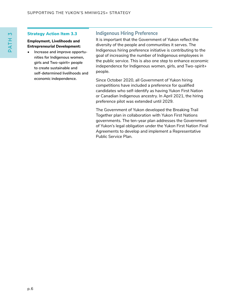#### **Strategy Action Item 3.3**

### **Employment, Livelihoods and Entrepreneurial Development:**

**• Increase and improve opportunities for Indigenous women, girls and Two-spirit+ people to create sustainable and self-determined livelihoods and economic independence.**

# **Indigenous Hiring Preference**

It is important that the Government of Yukon reflect the diversity of the people and communities it serves. The Indigenous hiring preference initiative is contributing to the goal of increasing the number of Indigenous employees in the public service. This is also one step to enhance economic independence for Indigenous women, girls, and Two-spirit+ people.

Since October 2020, all Government of Yukon hiring competitions have included a preference for qualified candidates who self-identify as having Yukon First Nation or Canadian Indigenous ancestry. In April 2021, the hiring preference pilot was extended until 2029.

The Government of Yukon developed the Breaking Trail Together plan in collaboration with Yukon First Nations governments. The ten-year plan addresses the Government of Yukon's legal obligation under the Yukon First Nation Final Agreements to develop and implement a Representative Public Service Plan.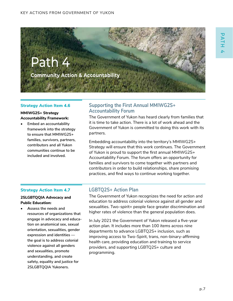

#### **Strategy Action Item 4.6**

#### **MMIWG2S+ Strategy Accountability Framework:**

**Embed** an accountability **framework into the strategy to ensure that MMIWG2S+ families, survivors, partners, contributors and all Yukon communities continue to be included and involved.**

## **Supporting the First Annual MMIWG2S+ Accountability Forum**

The Government of Yukon has heard clearly from families that it is time to take action. There is a lot of work ahead and the Government of Yukon is committed to doing this work with its partners.

Embedding accountability into the territory's MMIWG2S+ Strategy will ensure that this work continues. The Government of Yukon is proud to support the first annual MMIWG2S+ Accountability Forum. The forum offers an opportunity for families and survivors to come together with partners and contributors in order to build relationships, share promising practices, and find ways to continue working together.

#### **Strategy Action Item 4.7**

#### **2SLGBTQQIA Advocacy and Public Education:**

**• Assess the needs and resources of organizations that engage in advocacy and education on anatomical sex, sexual orientation, sexualities, gender expression and identities the goal is to address colonial violence against all genders and sexualities, promote understanding, and create safety, equality and justice for 2SLGBTQQIA Yukoners.**

# **LGBTQ2S+ Action Plan**

The Government of Yukon recognizes the need for action and education to address colonial violence against all gender and sexualities. Two-spirit+ people face greater discrimination and higher rates of violence than the general population does.

In July 2021 the Government of Yukon released a five-year action plan. It includes more than 100 items across nine departments to advance LGBTQ2S+ inclusion, such as improving access to Two-Spirit, trans, non-binary-affirming health care, providing education and training to service providers, and supporting LGBTQ2S+ culture and programming.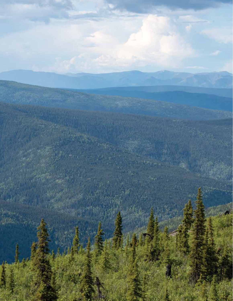